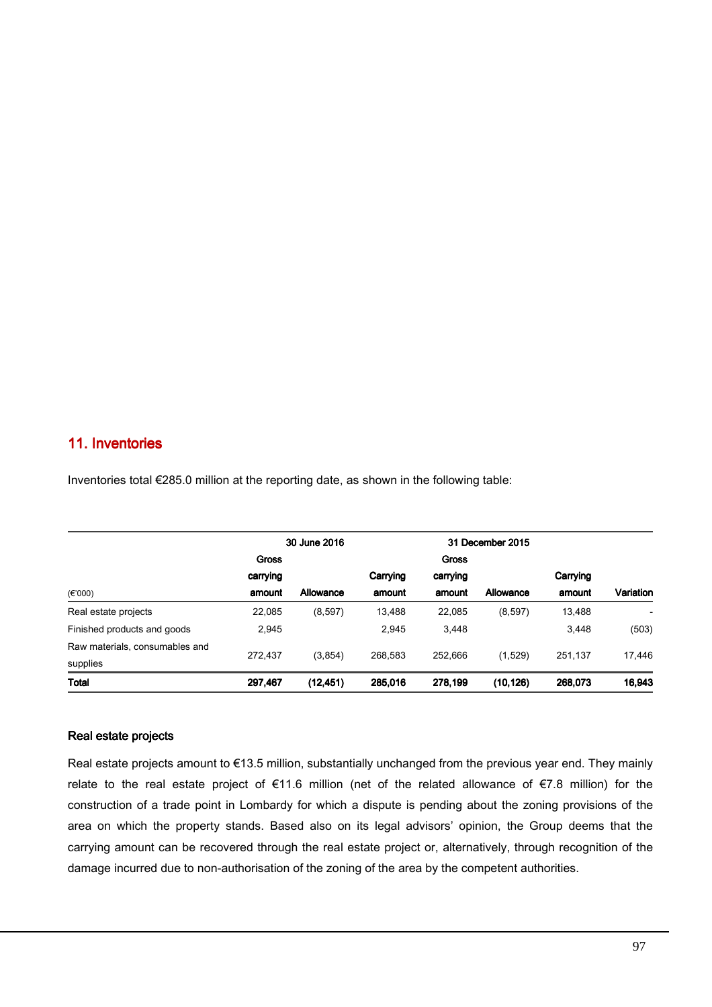## 11. Inventories

|                                |              | 30 June 2016 |          | 31 December 2015 |           |          |           |
|--------------------------------|--------------|--------------|----------|------------------|-----------|----------|-----------|
|                                | <b>Gross</b> |              |          | <b>Gross</b>     |           |          |           |
|                                | carrying     |              | Carrying | carrying         |           | Carrying |           |
| $(\epsilon$ '000)              | amount       | Allowance    | amount   | amount           | Allowance | amount   | Variation |
| Real estate projects           | 22,085       | (8,597)      | 13,488   | 22,085           | (8,597)   | 13,488   |           |
| Finished products and goods    | 2,945        |              | 2.945    | 3.448            |           | 3,448    | (503)     |
| Raw materials, consumables and |              | (3, 854)     | 268.583  | 252.666          | (1,529)   | 251.137  | 17,446    |
| supplies                       | 272.437      |              |          |                  |           |          |           |
| Total                          | 297,467      | (12, 451)    | 285,016  | 278,199          | (10, 126) | 268,073  | 16,943    |

Inventories total €285.0 million at the reporting date, as shown in the following table:

## Real estate projects

Real estate projects amount to €13.5 million, substantially unchanged from the previous year end. They mainly relate to the real estate project of €11.6 million (net of the related allowance of €7.8 million) for the construction of a trade point in Lombardy for which a dispute is pending about the zoning provisions of the area on which the property stands. Based also on its legal advisors' opinion, the Group deems that the carrying amount can be recovered through the real estate project or, alternatively, through recognition of the damage incurred due to non-authorisation of the zoning of the area by the competent authorities.